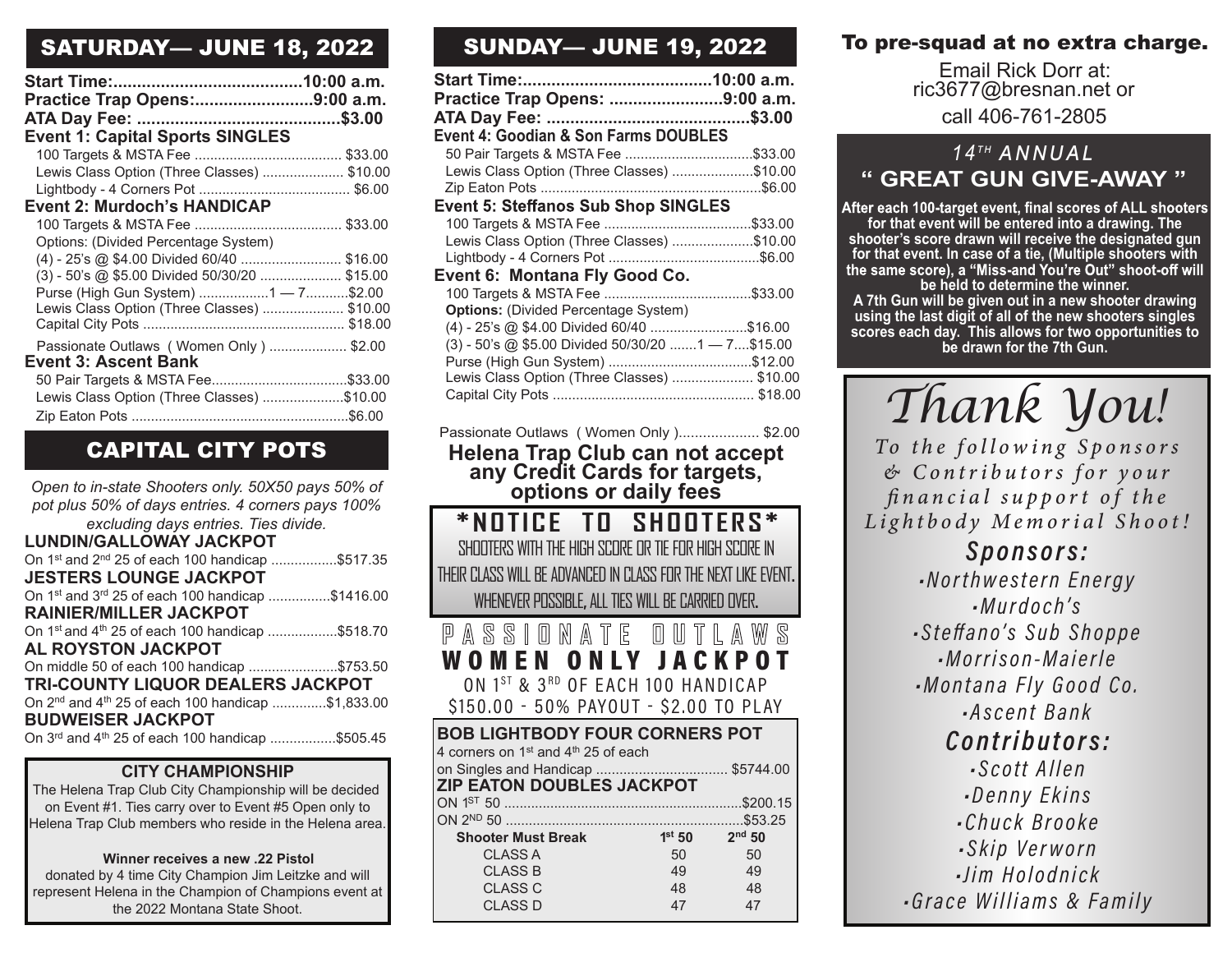## SATURDAY— JUNE 18, 2022

| Practice Trap Opens:9:00 a.m.                 |  |
|-----------------------------------------------|--|
|                                               |  |
| <b>Event 1: Capital Sports SINGLES</b>        |  |
|                                               |  |
| Lewis Class Option (Three Classes)  \$10.00   |  |
|                                               |  |
| Event 2: Murdoch's HANDICAP                   |  |
|                                               |  |
| Options: (Divided Percentage System)          |  |
| (4) - 25's @ \$4.00 Divided 60/40  \$16.00    |  |
| (3) - 50's @ \$5.00 Divided 50/30/20  \$15.00 |  |
| Purse (High Gun System) 1 - 7\$2.00           |  |
| Lewis Class Option (Three Classes)  \$10.00   |  |
|                                               |  |
| Passionate Outlaws (Women Only)  \$2.00       |  |
| <b>Event 3: Ascent Bank</b>                   |  |
|                                               |  |
| Lewis Class Option (Three Classes) \$10.00    |  |
|                                               |  |

## CAPITAL CITY POTS

*Open to in-state Shooters only. 50X50 pays 50% of pot plus 50% of days entries. 4 corners pays 100% excluding days entries. Ties divide.* **LUNDIN/GALLOWAY JACKPOT** On 1st and 2nd 25 of each 100 handicap .................\$517.35 **JESTERS LOUNGE JACKPOT** On 1st and 3rd 25 of each 100 handicap ................\$1416.00 **RAINIER/MILLER JACKPOT** On 1<sup>st</sup> and 4<sup>th</sup> 25 of each 100 handicap ..................\$518.70 **AL ROYSTON JACKPOT** On middle 50 of each 100 handicap .......................\$753.50 **TRI-COUNTY LIQUOR DEALERS JACKPOT** On 2nd and 4th 25 of each 100 handicap ..............\$1,833.00 **BUDWEISER JACKPOT** On 3rd and 4th 25 of each 100 handicap .................\$505.45

#### **CITY CHAMPIONSHIP**

The Helena Trap Club City Championship will be decided on Event #1. Ties carry over to Event #5 Open only to Helena Trap Club members who reside in the Helena area.

#### **Winner receives a new .22 Pistol**

donated by 4 time City Champion Jim Leitzke and will represent Helena in the Champion of Champions event at the 2022 Montana State Shoot.

# SUNDAY— JUNE 19, 2022

| Practice Trap Opens: 9:00 a.m.                      |  |
|-----------------------------------------------------|--|
|                                                     |  |
| <b>Event 4: Goodian &amp; Son Farms DOUBLES</b>     |  |
|                                                     |  |
| Lewis Class Option (Three Classes) \$10.00          |  |
|                                                     |  |
| <b>Event 5: Steffanos Sub Shop SINGLES</b>          |  |
|                                                     |  |
| Lewis Class Option (Three Classes) \$10.00          |  |
|                                                     |  |
| Event 6: Montana Fly Good Co.                       |  |
|                                                     |  |
| <b>Options: (Divided Percentage System)</b>         |  |
| (4) - 25's @ \$4.00 Divided 60/40 \$16.00           |  |
| $(3)$ - 50's @ \$5.00 Divided 50/30/20 1 - 7\$15.00 |  |
|                                                     |  |
| Lewis Class Option (Three Classes)  \$10.00         |  |
|                                                     |  |
|                                                     |  |

Passionate Outlaws ( Women Only ).................... \$2.00 **Helena Trap Club can not accept any Credit Cards for targets, options or daily fees** 

| *NOTICE TO SHOOTERS*<br>SHOOTERS WITH THE HIGH SCORE OR TIE FOR HIGH SCORE IN |                   |     |  |
|-------------------------------------------------------------------------------|-------------------|-----|--|
| THEIR CLASS WILL BE ADVANCED IN CLASS FOR THE NEXT LIKE EVENT.                |                   |     |  |
| WHENEVER POSSIBLE, ALL TIES WILL BE CARRIED OVER.                             |                   |     |  |
| PASSIONATE OUTLAW                                                             |                   |     |  |
| WOMEN ONLY JACKPOT                                                            |                   |     |  |
| ON 1ST & 3RD OF EACH 100 HANDICAP                                             |                   |     |  |
| \$150.00 - 50% PAYOUT - \$2.00 TO PLAY                                        |                   |     |  |
|                                                                               |                   |     |  |
| <b>BOB LIGHTBODY FOUR CORNERS POT</b>                                         |                   |     |  |
| 4 corners on 1 <sup>st</sup> and 4 <sup>th</sup> 25 of each                   |                   |     |  |
| on Singles and Handicap  \$5744.00                                            |                   |     |  |
| <b>ZIP EATON DOUBLES JACKPOT</b>                                              |                   |     |  |
|                                                                               |                   |     |  |
|                                                                               |                   |     |  |
| <b>Shooter Must Break</b>                                                     | $1st 50$ $2nd 50$ |     |  |
| <b>CLASS A</b>                                                                | 50                | 50  |  |
| <b>CLASS B</b>                                                                | 49                | 49  |  |
| <b>CLASS C</b>                                                                | 48                | -48 |  |
| <b>CLASS D</b>                                                                | 47                | 47  |  |

## To pre-squad at no extra charge.

Email Rick Dorr at: ric3677@bresnan.net or call 406-761-2805

# *14T H ANNUAL* **" GREAT GUN GIVE-AWAY "**

After each 100-target event, final scores of ALL shooters **for that event will be entered into a drawing. The shooter's score drawn will receive the designated gun for that event. In case of a tie, (Multiple shooters with be held to determine the winner.** 

**A 7th Gun will be given out in a new shooter drawing using the last digit of all of the new shooters singles scores each day. This allows for two opportunities to be drawn for the 7th Gun.**

*Thank You!*

To the following Sponsors  $& Contributions for your$ financial support of the Lightbody Memorial Shoot!

> *Sponsors:* -Northwestern Energy  $-Murdoch's$ -Steffano's Sub Shoppe ·Morrison-Maierle -Montana Fly Good Co. Ascent Bank Contributors: *Scott Allen* -Denny Ekins Chuck Brooke. -Skip Verworn -lim Holodnick Grace Williams & Family